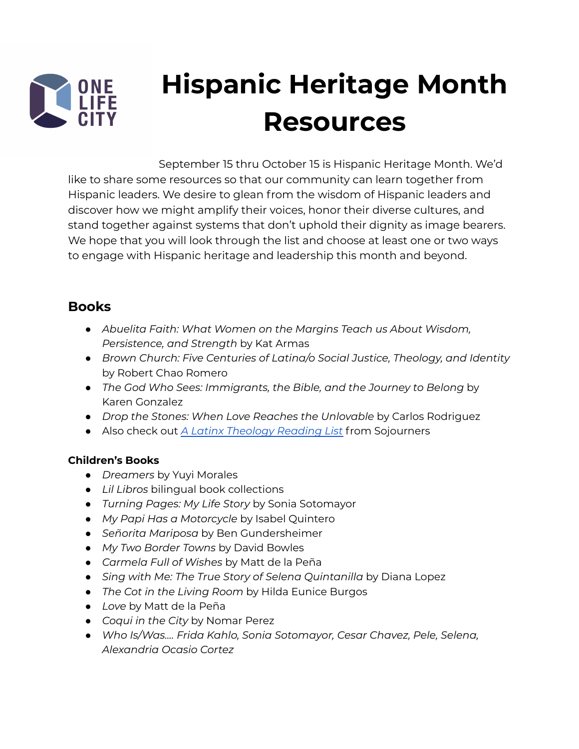

# **Hispanic Heritage Month Resources**

September 15 thru October 15 is Hispanic Heritage Month. We'd like to share some resources so that our community can learn together from Hispanic leaders. We desire to glean from the wisdom of Hispanic leaders and discover how we might amplify their voices, honor their diverse cultures, and stand together against systems that don't uphold their dignity as image bearers. We hope that you will look through the list and choose at least one or two ways to engage with Hispanic heritage and leadership this month and beyond.

#### **Books**

- *Abuelita Faith: What Women on the Margins Teach us About Wisdom, Persistence, and Strength* by Kat Armas
- *Brown Church: Five Centuries of Latina/o Social Justice, Theology, and Identity* by Robert Chao Romero
- *The God Who Sees: Immigrants, the Bible, and the Journey to Belong* by Karen Gonzalez
- *Drop the Stones: When Love Reaches the Unlovable* by Carlos Rodriguez
- Also check out *A Latinx [Theology](https://sojo.net/articles/latinx-theology-reading-list) Reading List* from Sojourners

#### **Children's Books**

- *Dreamers* by Yuyi Morales
- *Lil Libros* bilingual book collections
- *● Turning Pages: My Life Story* by Sonia Sotomayor
- *My Papi Has a Motorcycle* by Isabel Quintero
- *Señorita Mariposa* by Ben Gundersheimer
- *● My Two Border Towns* by David Bowles
- *● Carmela Full of Wishes* by Matt de la Peña
- *● Sing with Me: The True Story of Selena Quintanilla* by Diana Lopez
- *● The Cot in the Living Room* by Hilda Eunice Burgos
- *● Love* by Matt de la Peña
- *● Coqui in the City* by Nomar Perez
- *● Who Is/Was…. Frida Kahlo, Sonia Sotomayor, Cesar Chavez, Pele, Selena, Alexandria Ocasio Cortez*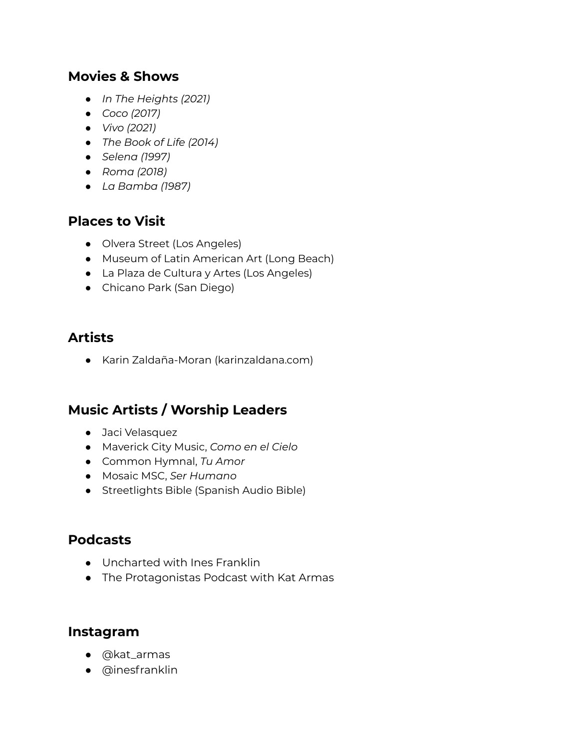### **Movies & Shows**

- *● In The Heights (2021)*
- *● Coco (2017)*
- *● Vivo (2021)*
- *● The Book of Life (2014)*
- *● Selena (1997)*
- *● Roma (2018)*
- *● La Bamba (1987)*

### **Places to Visit**

- *●* Olvera Street (Los Angeles)
- Museum of Latin American Art (Long Beach)
- La Plaza de Cultura y Artes (Los Angeles)
- Chicano Park (San Diego)

## **Artists**

● Karin Zaldaña-Moran (karinzaldana.com)

# **Music Artists / Worship Leaders**

- Jaci Velasquez
- Maverick City Music, *Como en el Cielo*
- Common Hymnal, *Tu Amor*
- Mosaic MSC, *Ser Humano*
- Streetlights Bible (Spanish Audio Bible)

### **Podcasts**

- Uncharted with Ines Franklin
- The Protagonistas Podcast with Kat Armas

#### **Instagram**

- @kat\_armas
- @inesfranklin